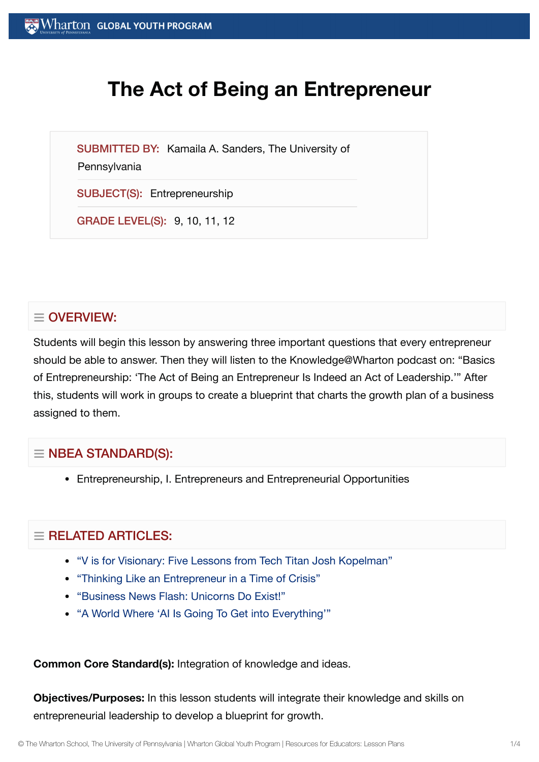# **The Act of Being an Entrepreneur**

SUBMITTED BY: Kamaila A. Sanders, The University of

**Pennsylvania** 

SUBJECT(S): Entrepreneurship

GRADE LEVEL(S): 9, 10, 11, 12

## $\equiv$  OVERVIEW:

Students will begin this lesson by answering three important questions that every entrepreneur should be able to answer. Then they will listen to the Knowledge@Wharton podcast on: "Basics of Entrepreneurship: 'The Act of Being an Entrepreneur Is Indeed an Act of Leadership.'" After this, students will work in groups to create a blueprint that charts the growth plan of a business assigned to them.

### $\equiv$  NBEA STANDARD(S):

Entrepreneurship, I. Entrepreneurs and Entrepreneurial Opportunities

## $=$  RELATED ARTICLES:

- "V is for Visionary: Five [Lessons from](https://globalyouth.wharton.upenn.edu/articles/v-is-for-visionary-five-lessons-from-tech-titan-josh-kopelman/) Tech Titan Josh Kopelman"
- "Thinking Like an [Entrepreneur](https://globalyouth.wharton.upenn.edu/articles/adapt-thinking-like-entrepreneur-time-crisis/) in a Time of Crisis"
- ["Business News Flash:](https://globalyouth.wharton.upenn.edu/articles/business-news-flash-unicorns-exist/) Unicorns Do Exist!"
- "A World Where 'AI Is Going To Get into [Everything'"](https://globalyouth.wharton.upenn.edu/articles/teen-app-developer-embraces-world-ai-going-get-everything/)

#### **Common Core Standard(s):** Integration of knowledge and ideas.

**Objectives/Purposes:** In this lesson students will integrate their knowledge and skills on entrepreneurial leadership to develop a blueprint for growth.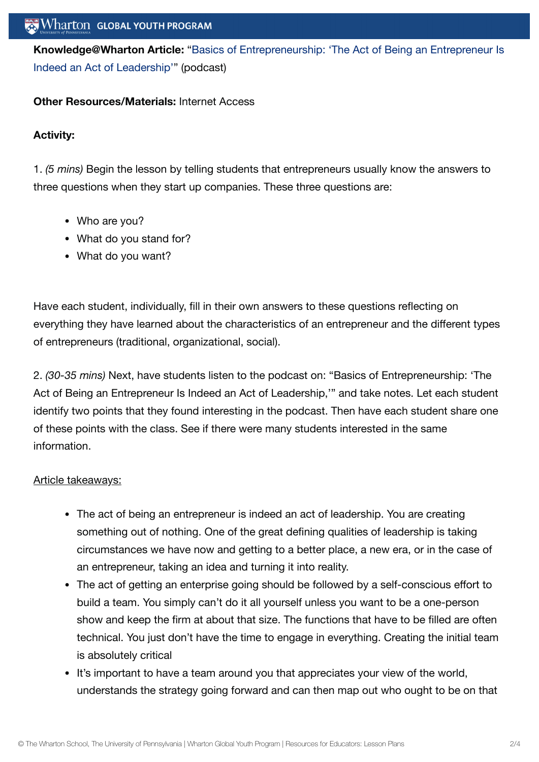**[Knowledge@Wharton](http://knowledge.wharton.upenn.edu/article.cfm?articleid=2445) Article:** "Basics of Entrepreneurship: 'The Act of Being an Entrepreneur Is Indeed an Act of Leadership'" (podcast)

#### **Other Resources/Materials:** Internet Access

#### **Activity:**

1. *(5 mins)* Begin the lesson by telling students that entrepreneurs usually know the answers to three questions when they start up companies. These three questions are:

- Who are you?
- What do you stand for?
- What do you want?

Have each student, individually, fill in their own answers to these questions reflecting on everything they have learned about the characteristics of an entrepreneur and the different types of entrepreneurs (traditional, organizational, social).

2. *(30-35 mins)* Next, have students listen to the podcast on: "Basics of Entrepreneurship: 'The Act of Being an Entrepreneur Is Indeed an Act of Leadership,'" and take notes. Let each student identify two points that they found interesting in the podcast. Then have each student share one of these points with the class. See if there were many students interested in the same information.

#### Article takeaways:

- The act of being an entrepreneur is indeed an act of leadership. You are creating something out of nothing. One of the great defining qualities of leadership is taking circumstances we have now and getting to a better place, a new era, or in the case of an entrepreneur, taking an idea and turning it into reality.
- The act of getting an enterprise going should be followed by a self-conscious effort to build a team. You simply can't do it all yourself unless you want to be a one-person show and keep the firm at about that size. The functions that have to be filled are often technical. You just don't have the time to engage in everything. Creating the initial team is absolutely critical
- It's important to have a team around you that appreciates your view of the world, understands the strategy going forward and can then map out who ought to be on that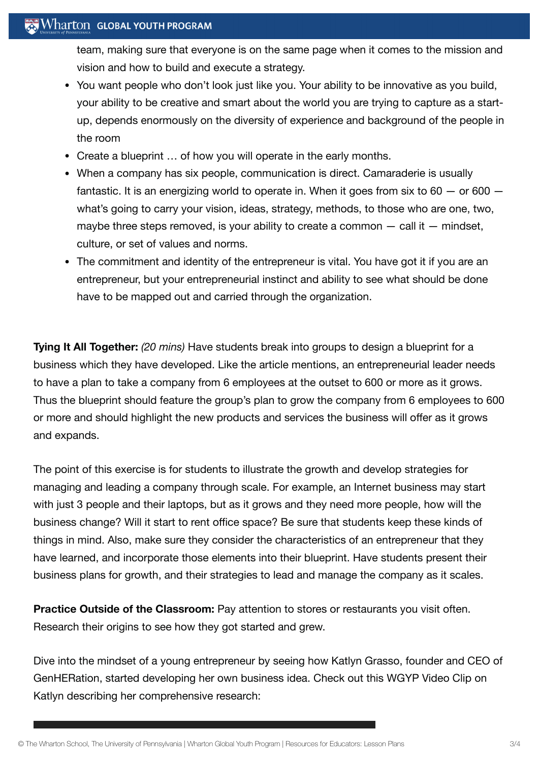## Wharton GLOBAL YOUTH PROGRAM

team, making sure that everyone is on the same page when it comes to the mission and vision and how to build and execute a strategy.

- You want people who don't look just like you. Your ability to be innovative as you build, your ability to be creative and smart about the world you are trying to capture as a startup, depends enormously on the diversity of experience and background of the people in the room
- Create a blueprint … of how you will operate in the early months.
- When a company has six people, communication is direct. Camaraderie is usually fantastic. It is an energizing world to operate in. When it goes from six to  $60 -$  or  $600$ what's going to carry your vision, ideas, strategy, methods, to those who are one, two, maybe three steps removed, is your ability to create a common  $-$  call it  $-$  mindset, culture, or set of values and norms.
- The commitment and identity of the entrepreneur is vital. You have got it if you are an entrepreneur, but your entrepreneurial instinct and ability to see what should be done have to be mapped out and carried through the organization.

**Tying It All Together:** *(20 mins)* Have students break into groups to design a blueprint for a business which they have developed. Like the article mentions, an entrepreneurial leader needs to have a plan to take a company from 6 employees at the outset to 600 or more as it grows. Thus the blueprint should feature the group's plan to grow the company from 6 employees to 600 or more and should highlight the new products and services the business will offer as it grows and expands.

The point of this exercise is for students to illustrate the growth and develop strategies for managing and leading a company through scale. For example, an Internet business may start with just 3 people and their laptops, but as it grows and they need more people, how will the business change? Will it start to rent office space? Be sure that students keep these kinds of things in mind. Also, make sure they consider the characteristics of an entrepreneur that they have learned, and incorporate those elements into their blueprint. Have students present their business plans for growth, and their strategies to lead and manage the company as it scales.

**Practice Outside of the Classroom:** Pay attention to stores or restaurants you visit often. Research their origins to see how they got started and grew.

Dive into the mindset of a young entrepreneur by seeing how Katlyn Grasso, founder and CEO of GenHERation, started developing her own business idea. Check out this WGYP Video Clip on Katlyn describing her comprehensive research: